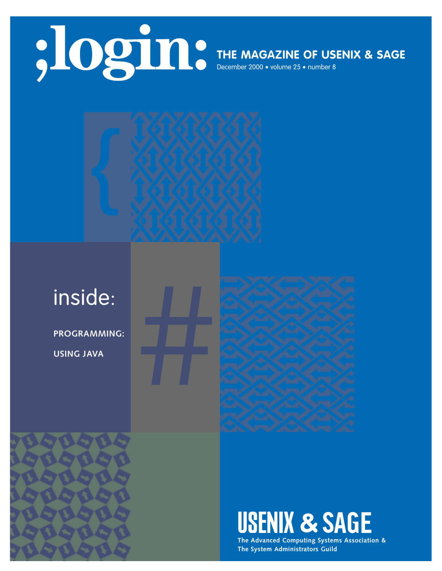

## **THE MAGAZINE OF USENIX & SAGE**

December 2000 • volume 25 • number 8



**PROGRAMMING: USING JAVA**



**USENIX & SAGE** 

**The Advanced Computing Systems Association & The System Administrators Guild**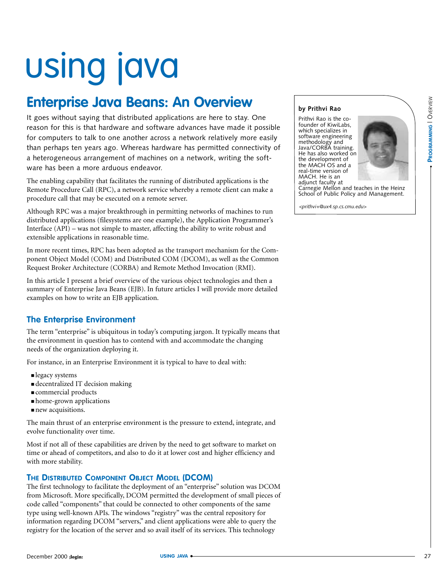# using java

## **Enterprise Java Beans: An Overview**

It goes without saying that distributed applications are here to stay. One reason for this is that hardware and software advances have made it possible for computers to talk to one another across a network relatively more easily than perhaps ten years ago. Whereas hardware has permitted connectivity of a heterogeneous arrangement of machines on a network, writing the software has been a more arduous endeavor.

The enabling capability that facilitates the running of distributed applications is the Remote Procedure Call (RPC), a network service whereby a remote client can make a procedure call that may be executed on a remote server.

Although RPC was a major breakthrough in permitting networks of machines to run distributed applications (filesystems are one example), the Application Programmer's Interface (API) – was not simple to master, affecting the ability to write robust and extensible applications in reasonable time.

In more recent times, RPC has been adopted as the transport mechanism for the Component Object Model (COM) and Distributed COM (DCOM), as well as the Common Request Broker Architecture (CORBA) and Remote Method Invocation (RMI).

In this article I present a brief overview of the various object technologies and then a summary of Enterprise Java Beans (EJB). In future articles I will provide more detailed examples on how to write an EJB application.

### **The Enterprise Environment**

The term "enterprise" is ubiquitous in today's computing jargon. It typically means that the environment in question has to contend with and accommodate the changing needs of the organization deploying it.

For instance, in an Enterprise Environment it is typical to have to deal with:

- legacy systems
- decentralized IT decision making
- commercial products
- home-grown applications
- new acquisitions.

The main thrust of an enterprise environment is the pressure to extend, integrate, and evolve functionality over time.

Most if not all of these capabilities are driven by the need to get software to market on time or ahead of competitors, and also to do it at lower cost and higher efficiency and with more stability.

#### **THE DISTRIBUTED COMPONENT OBJECT MODEL (DCOM)**

The first technology to facilitate the deployment of an "enterprise" solution was DCOM from Microsoft. More specifically, DCOM permitted the development of small pieces of code called "components" that could be connected to other components of the same type using well-known APIs. The windows "registry" was the central repository for information regarding DCOM "servers," and client applications were able to query the registry for the location of the server and so avail itself of its services. This technology

#### **by Prithvi Rao**

Prithvi Rao is the cofounder of KiwiLabs, which specializes in software engineering methodology and Java/CORBA training. He has also worked on the development of the MACH OS and a real-time version of MACH. He is an adjunct faculty at



Carnegie Mellon and teaches in the Heinz School of Public Policy and Management.

*<prithvi+@ux4.sp.cs.cmu.edu>*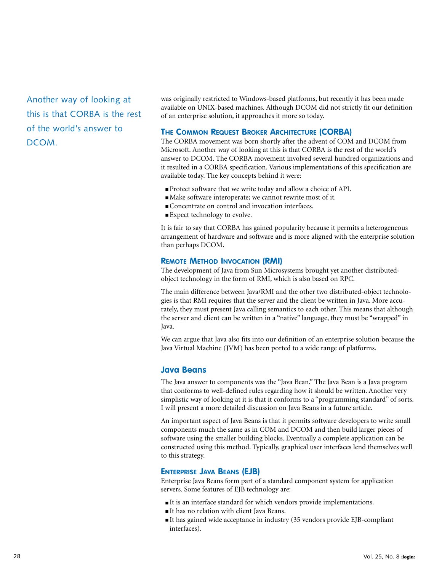Another way of looking at this is that CORBA is the rest of the world's answer to DCOM.

was originally restricted to Windows-based platforms, but recently it has been made available on UNIX-based machines. Although DCOM did not strictly fit our definition of an enterprise solution, it approaches it more so today.

#### **THE COMMON REQUEST BROKER ARCHITECTURE (CORBA)**

The CORBA movement was born shortly after the advent of COM and DCOM from Microsoft. Another way of looking at this is that CORBA is the rest of the world's answer to DCOM. The CORBA movement involved several hundred organizations and it resulted in a CORBA specification. Various implementations of this specification are available today. The key concepts behind it were:

- Protect software that we write today and allow a choice of API.
- Make software interoperate; we cannot rewrite most of it.
- Concentrate on control and invocation interfaces.
- Expect technology to evolve.

It is fair to say that CORBA has gained popularity because it permits a heterogeneous arrangement of hardware and software and is more aligned with the enterprise solution than perhaps DCOM.

#### **REMOTE METHOD INVOCATION (RMI)**

The development of Java from Sun Microsystems brought yet another distributedobject technology in the form of RMI, which is also based on RPC.

The main difference between Java/RMI and the other two distributed-object technologies is that RMI requires that the server and the client be written in Java. More accurately, they must present Java calling semantics to each other. This means that although the server and client can be written in a "native" language, they must be "wrapped" in Java.

We can argue that Java also fits into our definition of an enterprise solution because the Java Virtual Machine (JVM) has been ported to a wide range of platforms.

#### **Java Beans**

The Java answer to components was the "Java Bean." The Java Bean is a Java program that conforms to well-defined rules regarding how it should be written. Another very simplistic way of looking at it is that it conforms to a "programming standard" of sorts. I will present a more detailed discussion on Java Beans in a future article.

An important aspect of Java Beans is that it permits software developers to write small components much the same as in COM and DCOM and then build larger pieces of software using the smaller building blocks. Eventually a complete application can be constructed using this method. Typically, graphical user interfaces lend themselves well to this strategy.

#### **ENTERPRISE JAVA BEANS (EJB)**

Enterprise Java Beans form part of a standard component system for application servers. Some features of EJB technology are:

- It is an interface standard for which vendors provide implementations.
- It has no relation with client Java Beans.
- It has gained wide acceptance in industry (35 vendors provide EJB-compliant interfaces).